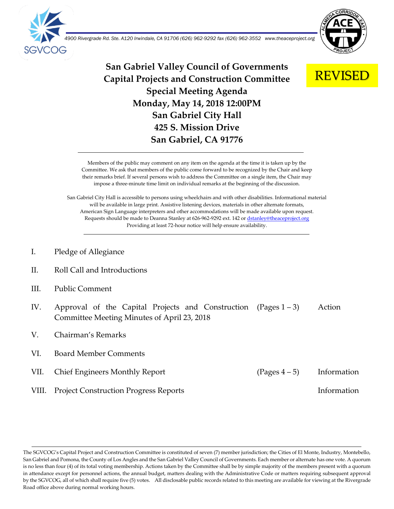

 *4900 Rivergrade Rd. Ste. A120 Irwindale, CA 91706 (626) 962-9292 fax (626) 962-3552 www.theaceproject.org*



**San Gabriel Valley Council of Governments Capital Projects and Construction Committee Special Meeting Agenda Monday, May 14, 2018 12:00PM San Gabriel City Hall 425 S. Mission Drive San Gabriel, CA 91776**



Members of the public may comment on any item on the agenda at the time it is taken up by the Committee. We ask that members of the public come forward to be recognized by the Chair and keep their remarks brief. If several persons wish to address the Committee on a single item, the Chair may impose a three-minute time limit on individual remarks at the beginning of the discussion.

San Gabriel City Hall is accessible to persons using wheelchairs and with other disabilities. Informational material will be available in large print. Assistive listening devices, materials in other alternate formats, American Sign Language interpreters and other accommodations will be made available upon request. Requests should be made to Deanna Stanley at 626-962-9292 ext. 142 o[r dstanley@theaceproject.org](mailto:dstanley@theaceproject.org) Providing at least 72-hour notice will help ensure availability.

- I. Pledge of Allegiance
- II. Roll Call and Introductions
- III. Public Comment
- IV. Approval of the Capital Projects and Construction (Pages 1 3) Action Committee Meeting Minutes of April 23, 2018
- V. Chairman's Remarks
- VI. Board Member Comments
- VII. Chief Engineers Monthly Report (Pages 4 5) Information
- VIII. Project Construction Progress Reports **Information**

The SGVCOG's Capital Project and Construction Committee is constituted of seven (7) member jurisdiction; the Cities of El Monte, Industry, Montebello, San Gabriel and Pomona, the County of Los Angles and the San Gabriel Valley Council of Governments. Each member or alternate has one vote. A quorum is no less than four (4) of its total voting membership. Actions taken by the Committee shall be by simple majority of the members present with a quorum in attendance except for personnel actions, the annual budget, matters dealing with the Administrative Code or matters requiring subsequent approval by the SGVCOG, all of which shall require five (5) votes. All disclosable public records related to this meeting are available for viewing at the Rivergrade Road office above during normal working hours.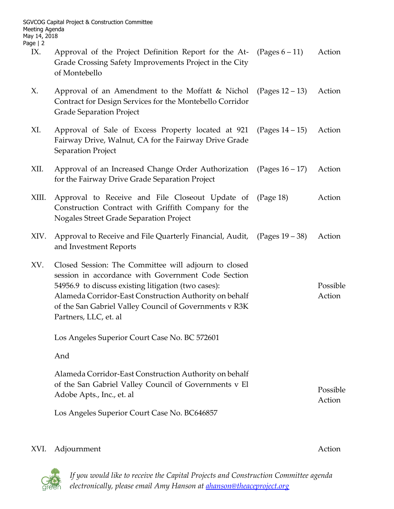- IX. Approval of the Project Definition Report for the At-Grade Crossing Safety Improvements Project in the City of Montebello  $(Pages 6 - 11)$  Action
- X. Approval of an Amendment to the Moffatt & Nichol Contract for Design Services for the Montebello Corridor Grade Separation Project  $(Pages 12 – 13)$  Action
- XI. Approval of Sale of Excess Property located at 921 Fairway Drive, Walnut, CA for the Fairway Drive Grade Separation Project  $(Pages 14 – 15)$  Action
- XII. Approval of an Increased Change Order Authorization for the Fairway Drive Grade Separation Project  $(Pages 16 – 17)$  Action
- XIII. Approval to Receive and File Closeout Update of Construction Contract with Griffith Company for the Nogales Street Grade Separation Project (Page 18) Action
- XIV. Approval to Receive and File Quarterly Financial, Audit, and Investment Reports  $(Pages 19 - 38)$  Action
- XV. Closed Session: The Committee will adjourn to closed session in accordance with Government Code Section 54956.9 to discuss existing litigation (two cases): Alameda Corridor-East Construction Authority on behalf of the San Gabriel Valley Council of Governments v R3K Partners, LLC, et. al Possible Action

Los Angeles Superior Court Case No. BC 572601

And

Alameda Corridor-East Construction Authority on behalf of the San Gabriel Valley Council of Governments v El Adobe Apts., Inc., et. al Possible Action

Los Angeles Superior Court Case No. BC646857

## XVI. Adjournment Action



*If you would like to receive the Capital Projects and Construction Committee agenda electronically, please email Amy Hanson at [ahanson@theaceproject.org](mailto:ahanson@theaceproject.org)*